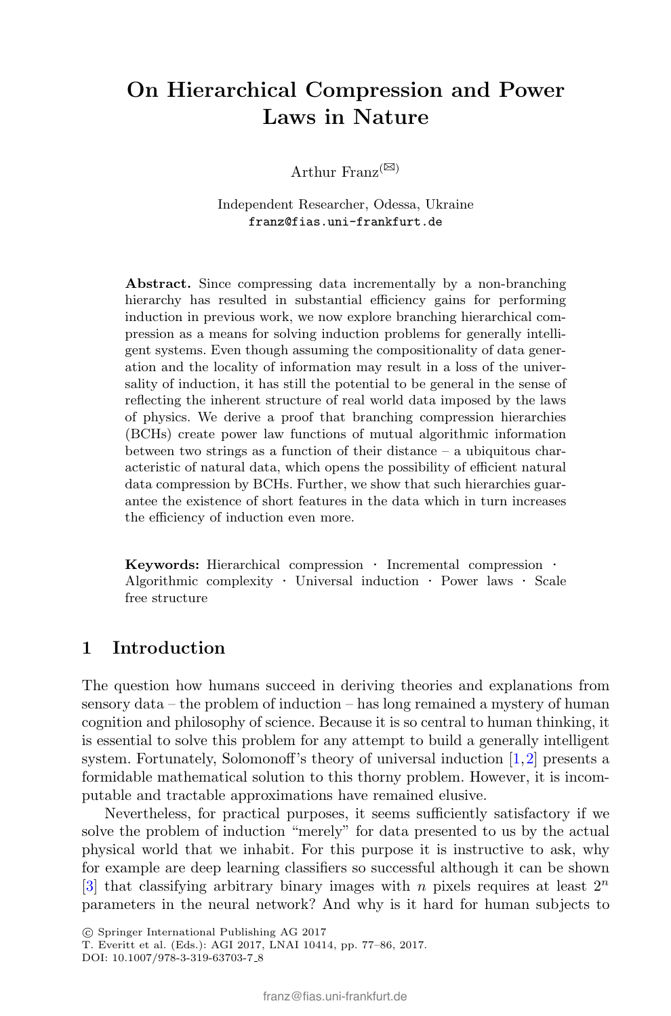# **On Hierarchical Compression and Power Laws in Nature**

Arthur Franz<sup>( $\boxtimes$ )</sup>

Independent Researcher, Odessa, Ukraine franz@fias.uni-frankfurt.de

**Abstract.** Since compressing data incrementally by a non-branching hierarchy has resulted in substantial efficiency gains for performing induction in previous work, we now explore branching hierarchical compression as a means for solving induction problems for generally intelligent systems. Even though assuming the compositionality of data generation and the locality of information may result in a loss of the universality of induction, it has still the potential to be general in the sense of reflecting the inherent structure of real world data imposed by the laws of physics. We derive a proof that branching compression hierarchies (BCHs) create power law functions of mutual algorithmic information between two strings as a function of their distance – a ubiquitous characteristic of natural data, which opens the possibility of efficient natural data compression by BCHs. Further, we show that such hierarchies guarantee the existence of short features in the data which in turn increases the efficiency of induction even more.

**Keywords:** Hierarchical compression · Incremental compression · Algorithmic complexity · Universal induction · Power laws · Scale free structure

### **1 Introduction**

The question how humans succeed in deriving theories and explanations from sensory data – the problem of induction – has long remained a mystery of human cognition and philosophy of science. Because it is so central to human thinking, it is essential to solve this problem for any attempt to build a generally intelligent system. Fortunately, Solomonoff's theory of universal induction  $[1,2]$  $[1,2]$  presents a formidable mathematical solution to this thorny problem. However, it is incomputable and tractable approximations have remained elusive.

Nevertheless, for practical purposes, it seems sufficiently satisfactory if we solve the problem of induction "merely" for data presented to us by the actual physical world that we inhabit. For this purpose it is instructive to ask, why for example are deep learning classifiers so successful although it can be shown [\[3](#page-9-2)] that classifying arbitrary binary images with n pixels requires at least  $2^n$ parameters in the neural network? And why is it hard for human subjects to

-c Springer International Publishing AG 2017

T. Everitt et al. (Eds.): AGI 2017, LNAI 10414, pp. 77–86, 2017.

DOI: 10.1007/978-3-319-63703-7 8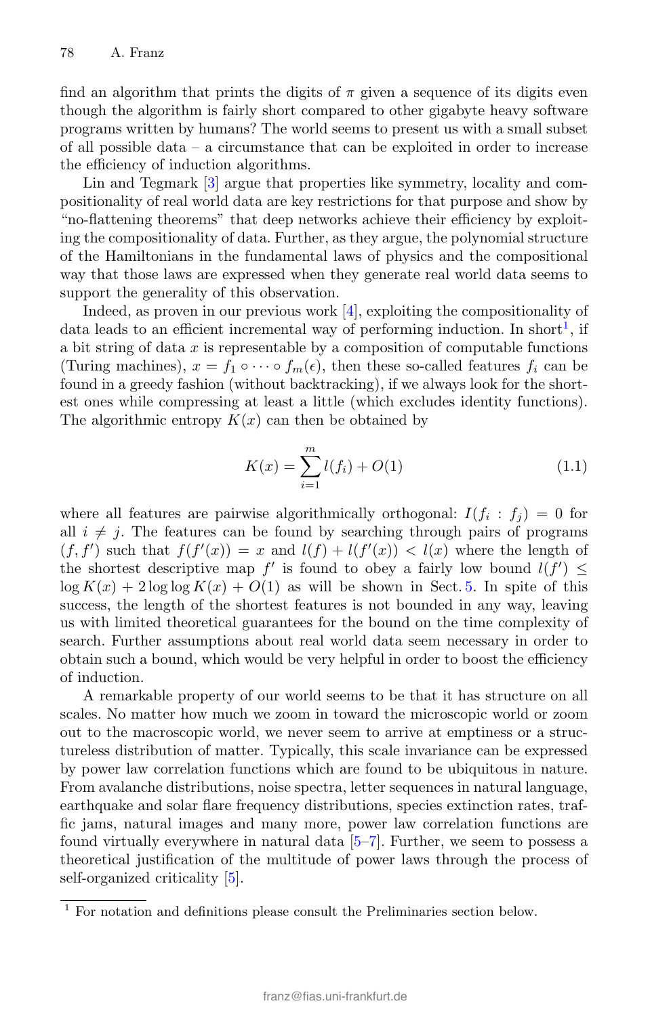find an algorithm that prints the digits of  $\pi$  given a sequence of its digits even though the algorithm is fairly short compared to other gigabyte heavy software programs written by humans? The world seems to present us with a small subset of all possible data – a circumstance that can be exploited in order to increase the efficiency of induction algorithms.

Lin and Tegmark [\[3\]](#page-9-2) argue that properties like symmetry, locality and compositionality of real world data are key restrictions for that purpose and show by "no-flattening theorems" that deep networks achieve their efficiency by exploiting the compositionality of data. Further, as they argue, the polynomial structure of the Hamiltonians in the fundamental laws of physics and the compositional way that those laws are expressed when they generate real world data seems to support the generality of this observation.

Indeed, as proven in our previous work [\[4\]](#page-9-3), exploiting the compositionality of data leads to an efficient incremental way of performing induction. In short<sup>[1](#page-1-0)</sup>, if a bit string of data  $x$  is representable by a composition of computable functions (Turing machines),  $x = f_1 \circ \cdots \circ f_m(\epsilon)$ , then these so-called features  $f_i$  can be found in a greedy fashion (without backtracking), if we always look for the shortest ones while compressing at least a little (which excludes identity functions). The algorithmic entropy  $K(x)$  can then be obtained by

$$
K(x) = \sum_{i=1}^{m} l(f_i) + O(1)
$$
\n(1.1)

where all features are pairwise algorithmically orthogonal:  $I(f_i : f_j) = 0$  for all  $i \neq j$ . The features can be found by searching through pairs of programs  $(f, f')$  such that  $f(f'(x)) = x$  and  $l(f) + l(f'(x)) < l(x)$  where the length of the shortest descriptive map  $f'$  is found to obey a fairly low bound  $l(f') \leq$  $\log K(x) + 2 \log \log K(x) + O(1)$  as will be shown in Sect. [5.](#page-6-0) In spite of this success, the length of the shortest features is not bounded in any way, leaving us with limited theoretical guarantees for the bound on the time complexity of search. Further assumptions about real world data seem necessary in order to obtain such a bound, which would be very helpful in order to boost the efficiency of induction.

A remarkable property of our world seems to be that it has structure on all scales. No matter how much we zoom in toward the microscopic world or zoom out to the macroscopic world, we never seem to arrive at emptiness or a structureless distribution of matter. Typically, this scale invariance can be expressed by power law correlation functions which are found to be ubiquitous in nature. From avalanche distributions, noise spectra, letter sequences in natural language, earthquake and solar flare frequency distributions, species extinction rates, traffic jams, natural images and many more, power law correlation functions are found virtually everywhere in natural data  $[5–7]$  $[5–7]$ . Further, we seem to possess a theoretical justification of the multitude of power laws through the process of self-organized criticality [\[5](#page-9-4)].

<span id="page-1-0"></span><sup>1</sup> For notation and definitions please consult the Preliminaries section below.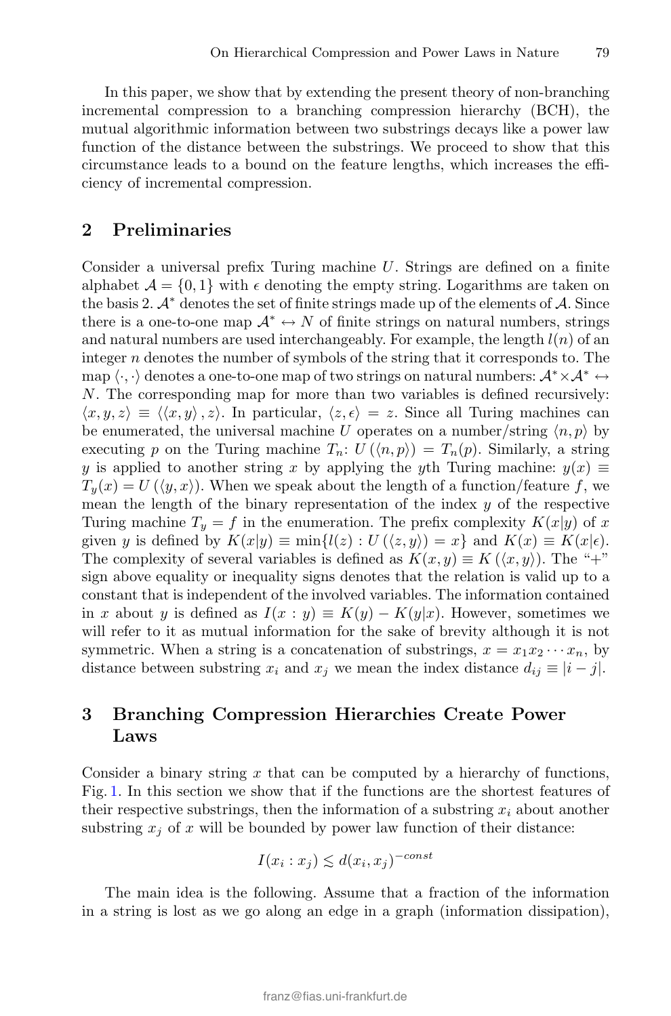In this paper, we show that by extending the present theory of non-branching incremental compression to a branching compression hierarchy (BCH), the mutual algorithmic information between two substrings decays like a power law function of the distance between the substrings. We proceed to show that this circumstance leads to a bound on the feature lengths, which increases the efficiency of incremental compression.

#### **2 Preliminaries**

Consider a universal prefix Turing machine U. Strings are defined on a finite alphabet  $\mathcal{A} = \{0, 1\}$  with  $\epsilon$  denoting the empty string. Logarithms are taken on the basis 2.  $A^*$  denotes the set of finite strings made up of the elements of A. Since there is a one-to-one map  $A^* \leftrightarrow N$  of finite strings on natural numbers, strings and natural numbers are used interchangeably. For example, the length  $l(n)$  of an integer  $n$  denotes the number of symbols of the string that it corresponds to. The map  $\langle \cdot, \cdot \rangle$  denotes a one-to-one map of two strings on natural numbers:  $\mathcal{A}^* \times \mathcal{A}^* \leftrightarrow$ N. The corresponding map for more than two variables is defined recursively:  $\langle x, y, z \rangle \equiv \langle \langle x, y \rangle, z \rangle$ . In particular,  $\langle z, \epsilon \rangle = z$ . Since all Turing machines can be enumerated, the universal machine U operates on a number/string  $\langle n, p \rangle$  by executing p on the Turing machine  $T_n: U(\langle n, p \rangle) = T_n(p)$ . Similarly, a string y is applied to another string x by applying the yth Turing machine:  $y(x) \equiv$  $T_y(x) = U(\langle y, x \rangle)$ . When we speak about the length of a function/feature f, we mean the length of the binary representation of the index  $y$  of the respective Turing machine  $T_y = f$  in the enumeration. The prefix complexity  $K(x|y)$  of x given y is defined by  $K(x|y) \equiv \min\{l(z): U(\langle z,y \rangle) = x\}$  and  $K(x) \equiv K(x|\epsilon)$ . The complexity of several variables is defined as  $K(x, y) \equiv K(\langle x, y \rangle)$ . The "+" sign above equality or inequality signs denotes that the relation is valid up to a constant that is independent of the involved variables. The information contained in x about y is defined as  $I(x : y) \equiv K(y) - K(y|x)$ . However, sometimes we will refer to it as mutual information for the sake of brevity although it is not symmetric. When a string is a concatenation of substrings,  $x = x_1 x_2 \cdots x_n$ , by distance between substring  $x_i$  and  $x_j$  we mean the index distance  $d_{ij} \equiv |i - j|$ .

## **3 Branching Compression Hierarchies Create Power Laws**

Consider a binary string  $x$  that can be computed by a hierarchy of functions, Fig. [1.](#page-3-0) In this section we show that if the functions are the shortest features of their respective substrings, then the information of a substring  $x_i$  about another substring  $x_i$  of x will be bounded by power law function of their distance:

$$
I(x_i : x_j) \lesssim d(x_i, x_j)^{-const}
$$

The main idea is the following. Assume that a fraction of the information in a string is lost as we go along an edge in a graph (information dissipation),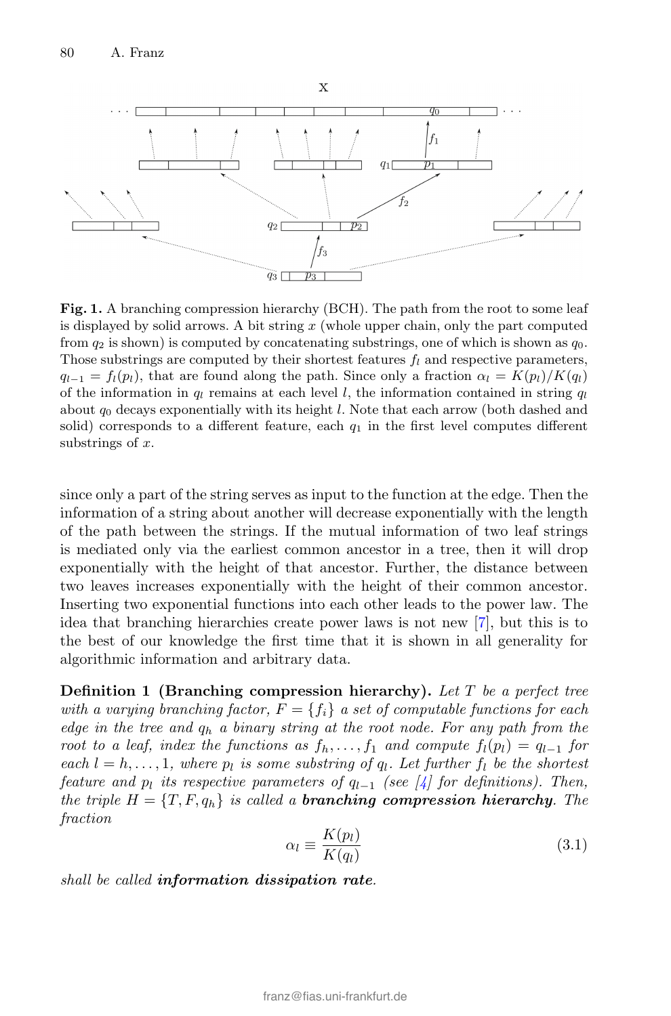

<span id="page-3-0"></span>**Fig. 1.** A branching compression hierarchy (BCH). The path from the root to some leaf is displayed by solid arrows. A bit string  $x$  (whole upper chain, only the part computed from  $q_2$  is shown) is computed by concatenating substrings, one of which is shown as  $q_0$ . Those substrings are computed by their shortest features  $f_l$  and respective parameters,  $q_{l-1} = f_l(p_l)$ , that are found along the path. Since only a fraction  $\alpha_l = K(p_l)/K(q_l)$ of the information in  $q_l$  remains at each level l, the information contained in string  $q_l$ about  $q_0$  decays exponentially with its height l. Note that each arrow (both dashed and solid) corresponds to a different feature, each  $q_1$  in the first level computes different substrings of  $x$ .

since only a part of the string serves as input to the function at the edge. Then the information of a string about another will decrease exponentially with the length of the path between the strings. If the mutual information of two leaf strings is mediated only via the earliest common ancestor in a tree, then it will drop exponentially with the height of that ancestor. Further, the distance between two leaves increases exponentially with the height of their common ancestor. Inserting two exponential functions into each other leads to the power law. The idea that branching hierarchies create power laws is not new [\[7](#page-9-5)], but this is to the best of our knowledge the first time that it is shown in all generality for algorithmic information and arbitrary data.

**Definition 1 (Branching compression hierarchy).** *Let* T *be a perfect tree with a varying branching factor,*  $F = \{f_i\}$  *a set of computable functions for each edge in the tree and* q<sup>h</sup> *a binary string at the root node. For any path from the root to a leaf, index the functions as*  $f_h, \ldots, f_1$  *and compute*  $f_l(p_l) = q_{l-1}$  *for each*  $l = h, \ldots, 1$ *, where*  $p_l$  *is some substring of*  $q_l$ *. Let further*  $f_l$  *be the shortest feature and*  $p_l$  *its respective parameters of*  $q_{l-1}$  *(see [\[4\]](#page-9-3) for definitions). Then, the triple*  $H = \{T, F, q_h\}$  *is called a branching compression hierarchy. The fraction*

<span id="page-3-1"></span>
$$
\alpha_l \equiv \frac{K(p_l)}{K(q_l)}\tag{3.1}
$$

*shall be called information dissipation rate.*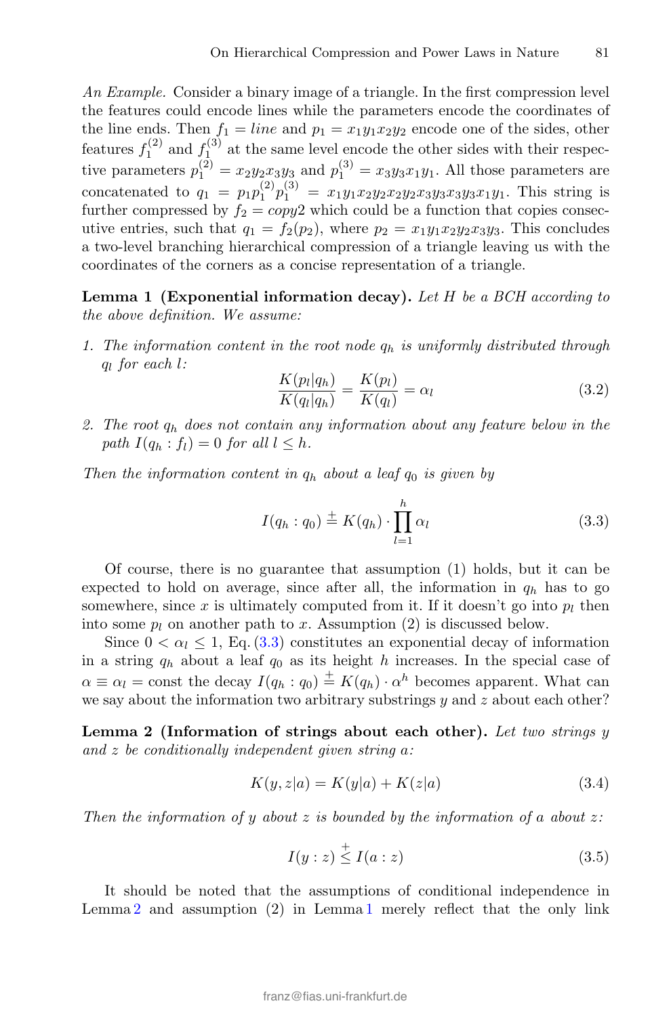*An Example.* Consider a binary image of a triangle. In the first compression level the features could encode lines while the parameters encode the coordinates of the line ends. Then  $f_1 = line$  and  $p_1 = x_1y_1x_2y_2$  encode one of the sides, other features  $f_1^{(2)}$  and  $f_1^{(3)}$  at the same level encode the other sides with their respective parameters  $p_1^{(2)} = x_2 y_2 x_3 y_3$  and  $p_1^{(3)} = x_3 y_3 x_1 y_1$ . All those parameters are concatenated to  $q_1 = p_1 p_1^{(2)} p_1^{(3)} = x_1 y_1 x_2 y_2 x_2 y_2 x_3 y_3 x_3 y_3 x_1 y_1$ . This string is further compressed by  $f_2 = copy2$  which could be a function that copies consecutive entries, such that  $q_1 = f_2(p_2)$ , where  $p_2 = x_1y_1x_2y_2x_3y_3$ . This concludes a two-level branching hierarchical compression of a triangle leaving us with the coordinates of the corners as a concise representation of a triangle.

<span id="page-4-2"></span>**Lemma 1 (Exponential information decay).** *Let* H *be a BCH according to the above definition. We assume:*

*1. The information content in the root node*  $q_h$  *is uniformly distributed through* q<sup>l</sup> *for each* l*:*

$$
\frac{K(p_l|q_h)}{K(q_l|q_h)} = \frac{K(p_l)}{K(q_l)} = \alpha_l
$$
\n(3.2)

*2. The root* q<sup>h</sup> *does not contain any information about any feature below in the path*  $I(q_h : f_l) = 0$  *for all*  $l \leq h$ *.* 

<span id="page-4-0"></span>*Then the information content in*  $q_h$  *about a leaf*  $q_0$  *is given by* 

$$
I(q_h:q_0) \stackrel{+}{=} K(q_h) \cdot \prod_{l=1}^h \alpha_l \tag{3.3}
$$

Of course, there is no guarantee that assumption (1) holds, but it can be expected to hold on average, since after all, the information in  $q_h$  has to go somewhere, since x is ultimately computed from it. If it doesn't go into  $p_l$  then into some  $p_l$  on another path to x. Assumption (2) is discussed below.

Since  $0 < \alpha_l \leq 1$ , Eq. [\(3.3\)](#page-4-0) constitutes an exponential decay of information in a string  $q_h$  about a leaf  $q_0$  as its height h increases. In the special case of  $\alpha \equiv \alpha_l = \text{const}$  the decay  $I(q_h : q_0) \stackrel{+}{=} K(q_h) \cdot \alpha^h$  becomes apparent. What can we say about the information two arbitrary substrings  $y$  and  $z$  about each other?

<span id="page-4-3"></span><span id="page-4-1"></span>**Lemma 2 (Information of strings about each other).** *Let two strings* y *and* z *be conditionally independent given string* a*:*

$$
K(y, z|a) = K(y|a) + K(z|a)
$$
\n(3.4)

*Then the information of* y *about* z *is bounded by the information of* a *about* z*:*  $\pm$ 

$$
I(y:z) \le I(a:z) \tag{3.5}
$$

It should be noted that the assumptions of conditional independence in Lemma [2](#page-4-1) and assumption (2) in Lemma [1](#page-4-2) merely reflect that the only link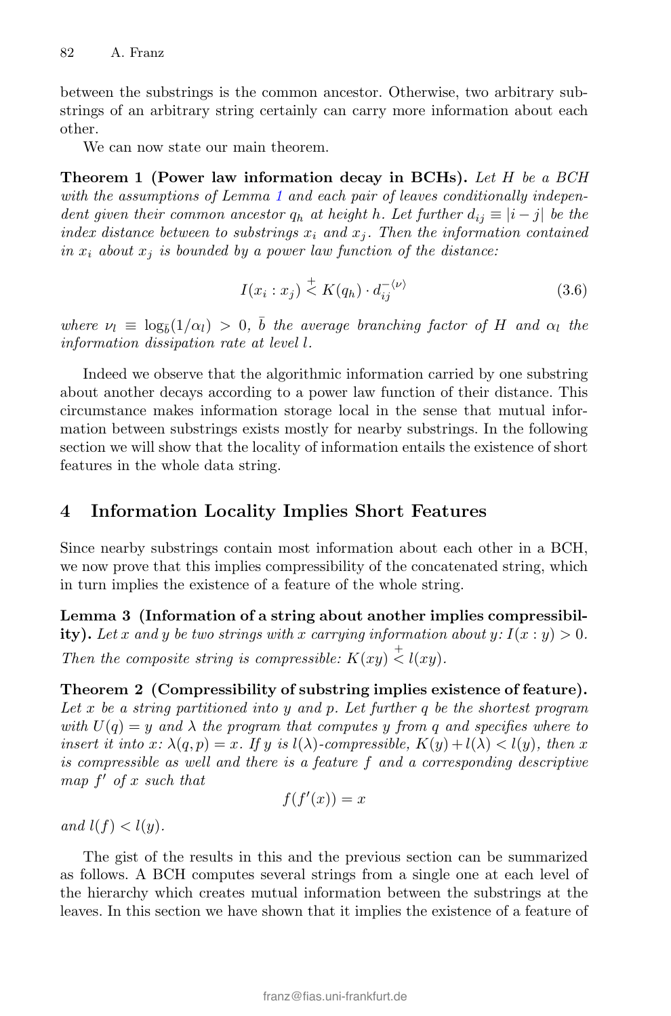between the substrings is the common ancestor. Otherwise, two arbitrary substrings of an arbitrary string certainly can carry more information about each other.

We can now state our main theorem.

<span id="page-5-0"></span>**Theorem 1 (Power law information decay in BCHs).** *Let* H *be a BCH with the assumptions of Lemma [1](#page-4-2) and each pair of leaves conditionally independent given their common ancestor*  $q_h$  *at height* h. Let further  $d_{ij} \equiv |i - j|$  be the *index distance between to substrings*  $x_i$  *and*  $x_j$ *. Then the information contained in*  $x_i$  *about*  $x_j$  *is bounded by a power law function of the distance:* 

$$
I(x_i : x_j) \stackrel{+}{\leq} K(q_h) \cdot d_{ij}^{-\langle \nu \rangle} \tag{3.6}
$$

*where*  $\nu_l \equiv \log_{\bar{b}}(1/\alpha_l) > 0$ , *b the average branching factor of* H *and*  $\alpha_l$  *the information dissipation rate at level* l*.*

Indeed we observe that the algorithmic information carried by one substring about another decays according to a power law function of their distance. This circumstance makes information storage local in the sense that mutual information between substrings exists mostly for nearby substrings. In the following section we will show that the locality of information entails the existence of short features in the whole data string.

# **4 Information Locality Implies Short Features**

Since nearby substrings contain most information about each other in a BCH, we now prove that this implies compressibility of the concatenated string, which in turn implies the existence of a feature of the whole string.

<span id="page-5-1"></span>**Lemma 3 (Information of a string about another implies compressibility**). Let x and y be two strings with x carrying information about  $y: I(x : y) > 0$ . Then the composite string is compressible:  $K(xy) \stackrel{+}{\leq} l(xy)$ .

<span id="page-5-2"></span>**Theorem 2 (Compressibility of substring implies existence of feature).** *Let* x *be a string partitioned into* y *and* p*. Let further* q *be the shortest program with*  $U(q) = y$  *and*  $\lambda$  *the program that computes* y *from* q *and specifies where to insert it into*  $x: \lambda(q, p) = x$ *. If*  $y$  *is*  $l(\lambda)$ *-compressible,*  $K(y) + l(\lambda) < l(y)$ *, then* x *is compressible as well and there is a feature* f *and a corresponding descriptive map* f' of x such that

$$
f(f'(x)) = x
$$

*and*  $l(f) < l(y)$ *.* 

The gist of the results in this and the previous section can be summarized as follows. A BCH computes several strings from a single one at each level of the hierarchy which creates mutual information between the substrings at the leaves. In this section we have shown that it implies the existence of a feature of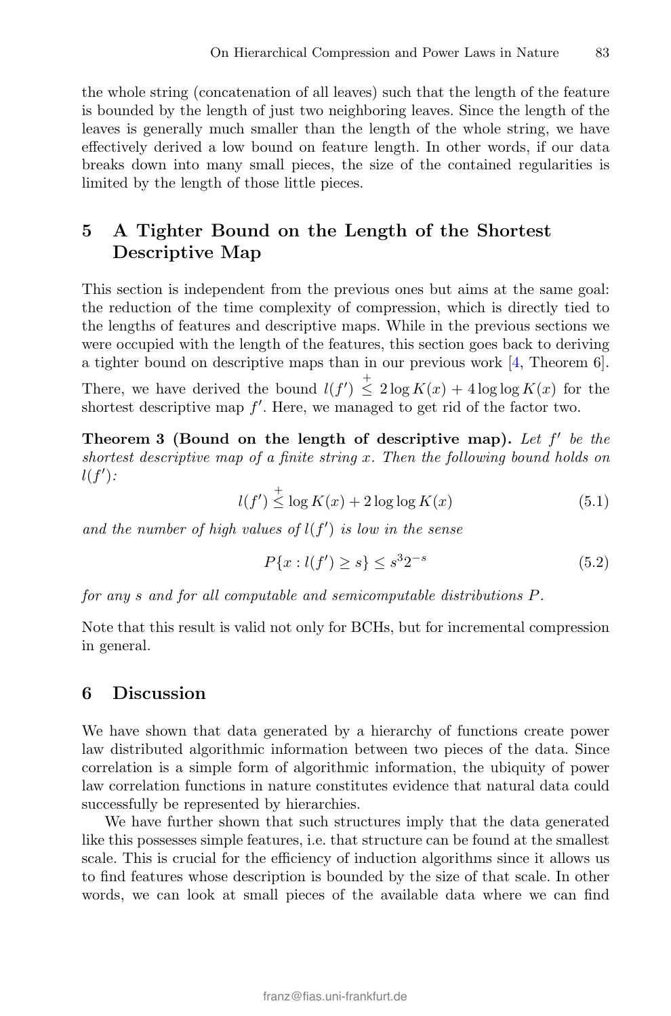the whole string (concatenation of all leaves) such that the length of the feature is bounded by the length of just two neighboring leaves. Since the length of the leaves is generally much smaller than the length of the whole string, we have effectively derived a low bound on feature length. In other words, if our data breaks down into many small pieces, the size of the contained regularities is limited by the length of those little pieces.

# <span id="page-6-0"></span>**5 A Tighter Bound on the Length of the Shortest Descriptive Map**

This section is independent from the previous ones but aims at the same goal: the reduction of the time complexity of compression, which is directly tied to the lengths of features and descriptive maps. While in the previous sections we were occupied with the length of the features, this section goes back to deriving a tighter bound on descriptive maps than in our previous work  $[4,$  $[4,$  Theorem 6.

<span id="page-6-1"></span>There, we have derived the bound  $l(f') \leq 2 \log K(x) + 4 \log \log K(x)$  for the shortest descriptive map  $f'$ . Here, we managed to get rid of the factor two.

**Theorem 3 (Bound on the length of descriptive map).** Let f' be the *shortest descriptive map of a finite string* x*. Then the following bound holds on*  $l(f')$ :

$$
l(f') \stackrel{+}{\leq} \log K(x) + 2\log \log K(x) \tag{5.1}
$$

*and the number of high values of* l(f ) *is low in the sense*

$$
P\{x: l(f') \ge s\} \le s^3 2^{-s} \tag{5.2}
$$

*for any* s *and for all computable and semicomputable distributions* P*.*

Note that this result is valid not only for BCHs, but for incremental compression in general.

### **6 Discussion**

We have shown that data generated by a hierarchy of functions create power law distributed algorithmic information between two pieces of the data. Since correlation is a simple form of algorithmic information, the ubiquity of power law correlation functions in nature constitutes evidence that natural data could successfully be represented by hierarchies.

We have further shown that such structures imply that the data generated like this possesses simple features, i.e. that structure can be found at the smallest scale. This is crucial for the efficiency of induction algorithms since it allows us to find features whose description is bounded by the size of that scale. In other words, we can look at small pieces of the available data where we can find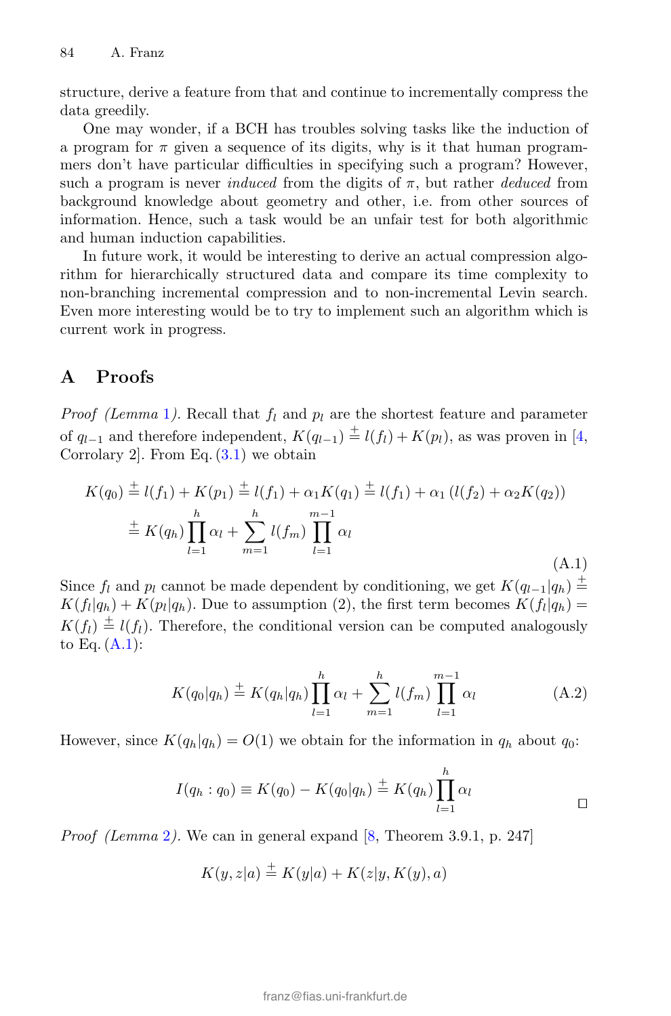structure, derive a feature from that and continue to incrementally compress the data greedily.

One may wonder, if a BCH has troubles solving tasks like the induction of a program for  $\pi$  given a sequence of its digits, why is it that human programmers don't have particular difficulties in specifying such a program? However, such a program is never *induced* from the digits of  $\pi$ , but rather *deduced* from background knowledge about geometry and other, i.e. from other sources of information. Hence, such a task would be an unfair test for both algorithmic and human induction capabilities.

In future work, it would be interesting to derive an actual compression algorithm for hierarchically structured data and compare its time complexity to non-branching incremental compression and to non-incremental Levin search. Even more interesting would be to try to implement such an algorithm which is current work in progress.

## **A Proofs**

*Proof (Lemma* [1](#page-4-2)). Recall that  $f_l$  and  $p_l$  are the shortest feature and parameter of  $q_{l-1}$  and therefore independent,  $K(q_{l-1}) \stackrel{+}{=} l(f_l) + K(p_l)$ , as was proven in [\[4](#page-9-3), Corrolary 2. From Eq.  $(3.1)$  we obtain

<span id="page-7-0"></span>
$$
K(q_0) \stackrel{+}{=} l(f_1) + K(p_1) \stackrel{+}{=} l(f_1) + \alpha_1 K(q_1) \stackrel{+}{=} l(f_1) + \alpha_1 (l(f_2) + \alpha_2 K(q_2))
$$
  
\n
$$
\stackrel{+}{=} K(q_h) \prod_{l=1}^h \alpha_l + \sum_{m=1}^h l(f_m) \prod_{l=1}^{m-1} \alpha_l
$$
  
\n(A.1)

Since  $f_l$  and  $p_l$  cannot be made dependent by conditioning, we get  $K(q_{l-1}|q_h) \stackrel{+}{=}$  $K(f_l|q_h) + K(p_l|q_h)$ . Due to assumption (2), the first term becomes  $K(f_l|q_h)$  =  $K(f_l) \stackrel{+}{=} l(f_l)$ . Therefore, the conditional version can be computed analogously to Eq.  $(A.1)$ :

$$
K(q_0|q_h) \stackrel{+}{=} K(q_h|q_h) \prod_{l=1}^h \alpha_l + \sum_{m=1}^h l(f_m) \prod_{l=1}^{m-1} \alpha_l \tag{A.2}
$$

However, since  $K(q_h|q_h) = O(1)$  we obtain for the information in  $q_h$  about  $q_0$ :

$$
I(q_h:q_0) \equiv K(q_0) - K(q_0|q_h) \stackrel{+}{=} K(q_h) \prod_{l=1}^h \alpha_l
$$

*Proof (Lemma* [2](#page-4-1)*).* We can in general expand [\[8,](#page-9-6) Theorem 3.9.1, p. 247]

$$
K(y, z|a) \stackrel{+}{=} K(y|a) + K(z|y, K(y), a)
$$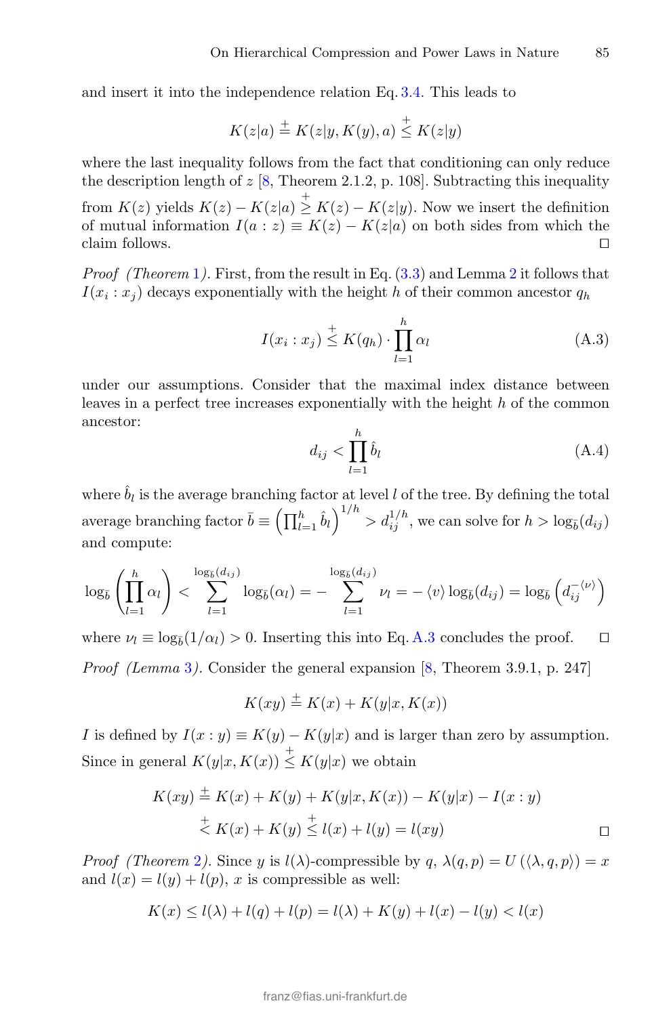and insert it into the independence relation Eq. [3.4.](#page-4-3) This leads to

$$
K(z|a) \stackrel{+}{=} K(z|y, K(y), a) \stackrel{+}{\leq} K(z|y)
$$

where the last inequality follows from the fact that conditioning can only reduce the description length of  $z$  [\[8,](#page-9-6) Theorem 2.1.2, p. 108]. Subtracting this inequality

from  $K(z)$  yields  $K(z) - K(z|a) \geq K(z) - K(z|y)$ . Now we insert the definition of mutual information  $I(a : z) \equiv K(z) - K(z|a)$  on both sides from which the claim follows. □ claim follows.  $\Box$  $\Box$ 

<span id="page-8-0"></span>*Proof (Theorem* [1](#page-5-0)*).* First, from the result in Eq. [\(3.3\)](#page-4-0) and Lemma [2](#page-4-1) it follows that  $I(x_i : x_j)$  decays exponentially with the height h of their common ancestor  $q_h$ 

$$
I(x_i : x_j) \stackrel{+}{\leq} K(q_h) \cdot \prod_{l=1}^h \alpha_l \tag{A.3}
$$

under our assumptions. Consider that the maximal index distance between leaves in a perfect tree increases exponentially with the height h of the common ancestor:

$$
d_{ij} < \prod_{l=1}^{h} \hat{b}_l \tag{A.4}
$$

where  $\hat{b}_l$  is the average branching factor at level l of the tree. By defining the total average branching factor  $\bar{b} \equiv \left(\prod_{l=1}^h \hat{b}_l\right)^{1/h} > d_{ij}^{1/h}$ , we can solve for  $h > \log_{\bar{b}}(d_{ij})$ and compute:

$$
\log_{\bar{b}}\left(\prod_{l=1}^{h}\alpha_{l}\right) < \sum_{l=1}^{\log_{\bar{b}}(d_{ij})}\log_{\bar{b}}(\alpha_{l}) = -\sum_{l=1}^{\log_{\bar{b}}(d_{ij})}\nu_{l} = -\langle v\rangle\log_{\bar{b}}(d_{ij}) = \log_{\bar{b}}\left(d_{ij}^{-\langle\nu\rangle}\right)
$$

where  $\nu_l \equiv \log_{\bar{b}}(1/\alpha_l) > 0$ . Inserting this into Eq. [A.3](#page-8-0) concludes the proof.  $\Box$ *Proof (Lemma* [3](#page-5-1)*).* Consider the general expansion [\[8](#page-9-6), Theorem 3.9.1, p. 247]

$$
K(xy) \stackrel{+}{=} K(x) + K(y|x, K(x))
$$

I is defined by  $I(x : y) \equiv K(y) - K(y|x)$  and is larger than zero by assumption. Since in general  $K(y|x, K(x)) \stackrel{+}{\leq} K(y|x)$  we obtain

$$
K(xy) \stackrel{+}{=} K(x) + K(y) + K(y|x, K(x)) - K(y|x) - I(x:y)
$$
  
\n
$$
\stackrel{+}{\leq} K(x) + K(y) \stackrel{+}{\leq} l(x) + l(y) = l(xy)
$$

*Proof (Theorem [2](#page-5-2)).* Since y is  $l(\lambda)$ -compressible by q,  $\lambda(q, p) = U(\langle \lambda, q, p \rangle) = x$ and  $l(x) = l(y) + l(p)$ , x is compressible as well:

$$
K(x) \le l(\lambda) + l(q) + l(p) = l(\lambda) + K(y) + l(x) - l(y) < l(x)
$$